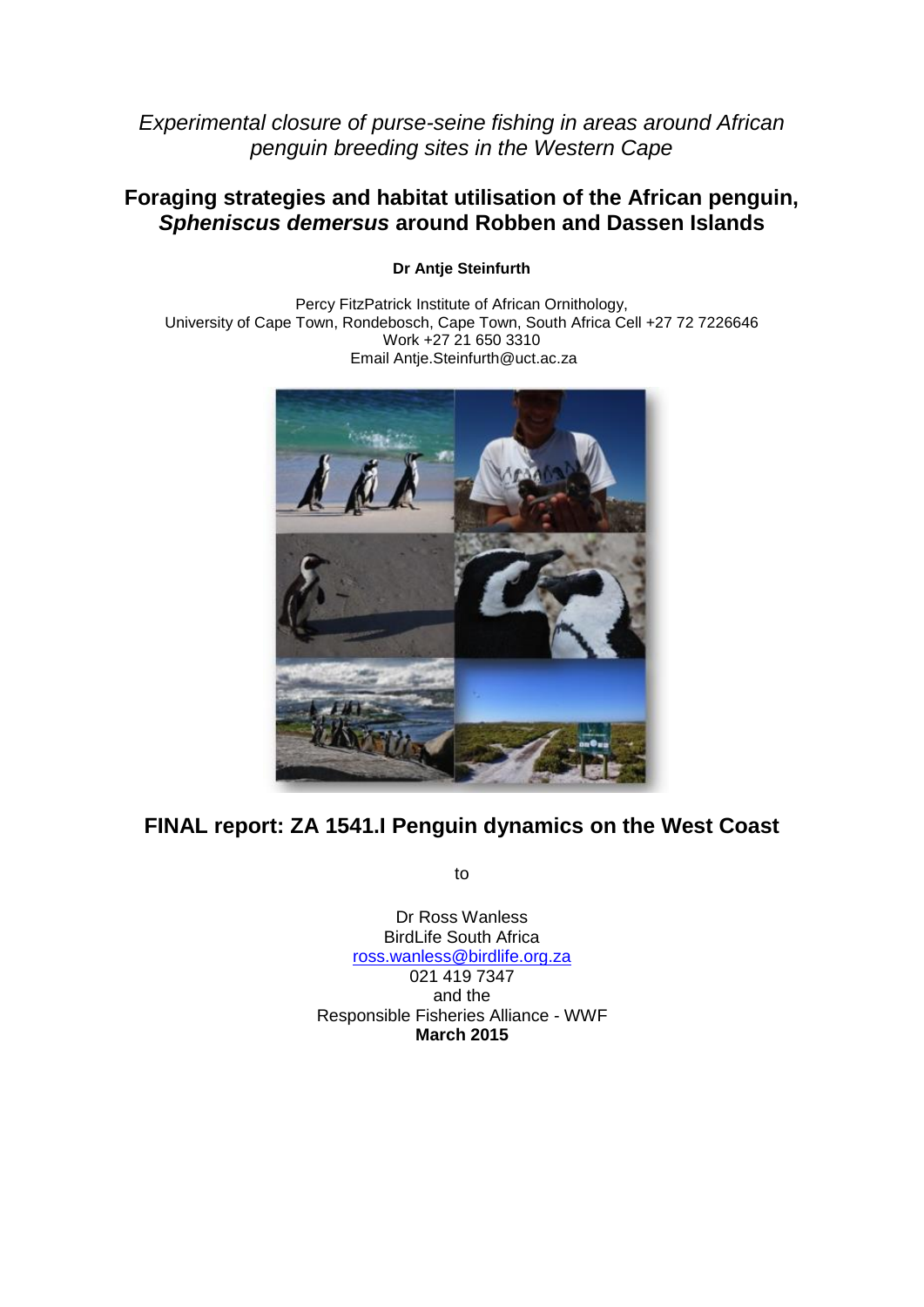*Experimental closure of purse-seine fishing in areas around African penguin breeding sites in the Western Cape*

# **Foraging strategies and habitat utilisation of the African penguin,** *Spheniscus demersus* **around Robben and Dassen Islands**

**Dr Antje Steinfurth**

Percy FitzPatrick Institute of African Ornithology, University of Cape Town, Rondebosch, Cape Town, South Africa Cell +27 72 7226646 Work +27 21 650 3310 Email Antje.Steinfurth@uct.ac.za



# **FINAL report: ZA 1541.I Penguin dynamics on the West Coast**

to

Dr Ross Wanless BirdLife South Africa [ross.wanless@birdlife.org.za](mailto:ross.wanless@birdlife.org.za) 021 419 7347 and the Responsible Fisheries Alliance - WWF **March 2015**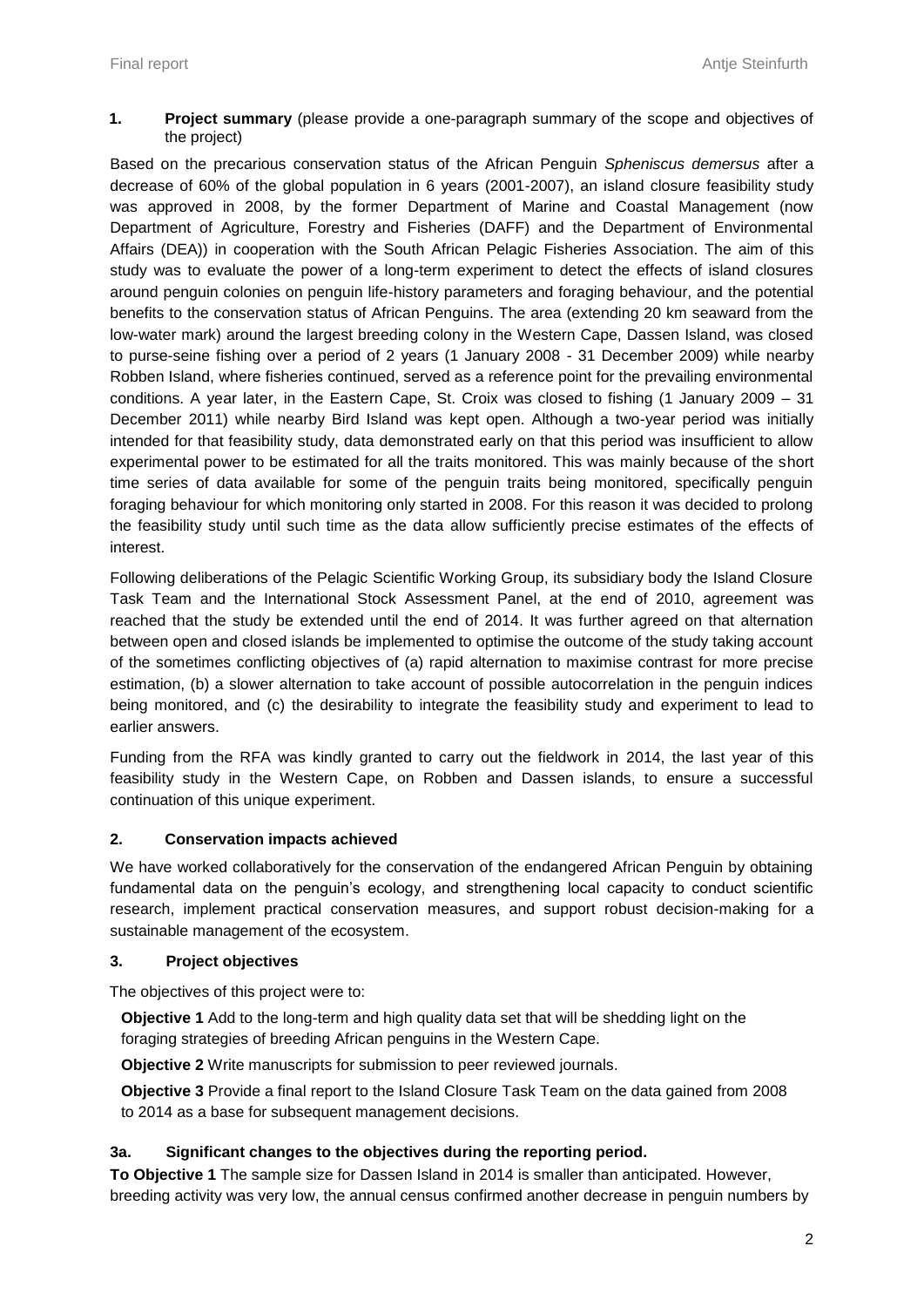**1. Project summary** (please provide a one-paragraph summary of the scope and objectives of the project)

Based on the precarious conservation status of the African Penguin *Spheniscus demersus* after a decrease of 60% of the global population in 6 years (2001-2007), an island closure feasibility study was approved in 2008, by the former Department of Marine and Coastal Management (now Department of Agriculture, Forestry and Fisheries (DAFF) and the Department of Environmental Affairs (DEA)) in cooperation with the South African Pelagic Fisheries Association. The aim of this study was to evaluate the power of a long-term experiment to detect the effects of island closures around penguin colonies on penguin life-history parameters and foraging behaviour, and the potential benefits to the conservation status of African Penguins. The area (extending 20 km seaward from the low-water mark) around the largest breeding colony in the Western Cape, Dassen Island, was closed to purse-seine fishing over a period of 2 years (1 January 2008 - 31 December 2009) while nearby Robben Island, where fisheries continued, served as a reference point for the prevailing environmental conditions. A year later, in the Eastern Cape, St. Croix was closed to fishing (1 January 2009 – 31 December 2011) while nearby Bird Island was kept open. Although a two-year period was initially intended for that feasibility study, data demonstrated early on that this period was insufficient to allow experimental power to be estimated for all the traits monitored. This was mainly because of the short time series of data available for some of the penguin traits being monitored, specifically penguin foraging behaviour for which monitoring only started in 2008. For this reason it was decided to prolong the feasibility study until such time as the data allow sufficiently precise estimates of the effects of interest.

Following deliberations of the Pelagic Scientific Working Group, its subsidiary body the Island Closure Task Team and the International Stock Assessment Panel, at the end of 2010, agreement was reached that the study be extended until the end of 2014. It was further agreed on that alternation between open and closed islands be implemented to optimise the outcome of the study taking account of the sometimes conflicting objectives of (a) rapid alternation to maximise contrast for more precise estimation, (b) a slower alternation to take account of possible autocorrelation in the penguin indices being monitored, and (c) the desirability to integrate the feasibility study and experiment to lead to earlier answers.

Funding from the RFA was kindly granted to carry out the fieldwork in 2014, the last year of this feasibility study in the Western Cape, on Robben and Dassen islands, to ensure a successful continuation of this unique experiment.

# **2. Conservation impacts achieved**

We have worked collaboratively for the conservation of the endangered African Penguin by obtaining fundamental data on the penguin's ecology, and strengthening local capacity to conduct scientific research, implement practical conservation measures, and support robust decision-making for a sustainable management of the ecosystem.

# **3. Project objectives**

The objectives of this project were to:

**Objective 1** Add to the long-term and high quality data set that will be shedding light on the foraging strategies of breeding African penguins in the Western Cape.

**Objective 2** Write manuscripts for submission to peer reviewed journals.

**Objective 3** Provide a final report to the Island Closure Task Team on the data gained from 2008 to 2014 as a base for subsequent management decisions.

# **3a. Significant changes to the objectives during the reporting period.**

**To Objective 1** The sample size for Dassen Island in 2014 is smaller than anticipated. However, breeding activity was very low, the annual census confirmed another decrease in penguin numbers by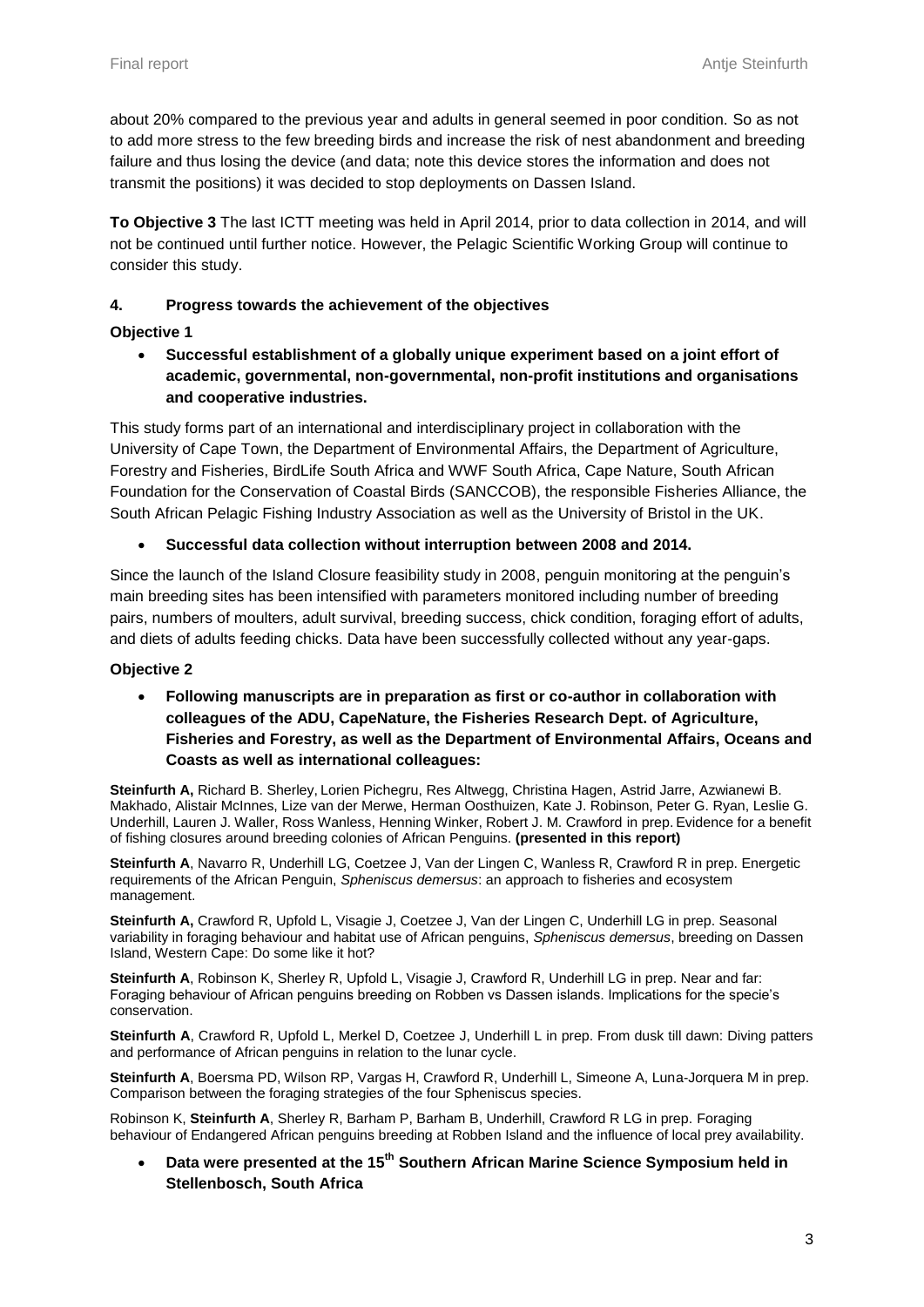about 20% compared to the previous year and adults in general seemed in poor condition. So as not to add more stress to the few breeding birds and increase the risk of nest abandonment and breeding failure and thus losing the device (and data; note this device stores the information and does not transmit the positions) it was decided to stop deployments on Dassen Island.

**To Objective 3** The last ICTT meeting was held in April 2014, prior to data collection in 2014, and will not be continued until further notice. However, the Pelagic Scientific Working Group will continue to consider this study.

### **4. Progress towards the achievement of the objectives**

### **Objective 1**

 **Successful establishment of a globally unique experiment based on a joint effort of academic, governmental, non-governmental, non-profit institutions and organisations and cooperative industries.**

This study forms part of an international and interdisciplinary project in collaboration with the University of Cape Town, the Department of Environmental Affairs, the Department of Agriculture, Forestry and Fisheries, BirdLife South Africa and WWF South Africa, Cape Nature, South African Foundation for the Conservation of Coastal Birds (SANCCOB), the responsible Fisheries Alliance, the South African Pelagic Fishing Industry Association as well as the University of Bristol in the UK.

### **Successful data collection without interruption between 2008 and 2014.**

Since the launch of the Island Closure feasibility study in 2008, penguin monitoring at the penguin's main breeding sites has been intensified with parameters monitored including number of breeding pairs, numbers of moulters, adult survival, breeding success, chick condition, foraging effort of adults, and diets of adults feeding chicks. Data have been successfully collected without any year-gaps.

#### **Objective 2**

 **Following manuscripts are in preparation as first or co-author in collaboration with colleagues of the ADU, CapeNature, the Fisheries Research Dept. of Agriculture, Fisheries and Forestry, as well as the Department of Environmental Affairs, Oceans and Coasts as well as international colleagues:**

**Steinfurth A,** Richard B. Sherley, Lorien Pichegru, Res Altwegg, Christina Hagen, Astrid Jarre, Azwianewi B. Makhado, Alistair McInnes, Lize van der Merwe, Herman Oosthuizen, Kate J. Robinson, Peter G. Ryan, Leslie G. Underhill, Lauren J. Waller, Ross Wanless, Henning Winker, Robert J. M. Crawford in prep. Evidence for a benefit of fishing closures around breeding colonies of African Penguins. **(presented in this report)**

**Steinfurth A**, Navarro R, Underhill LG, Coetzee J, Van der Lingen C, Wanless R, Crawford R in prep. Energetic requirements of the African Penguin, *Spheniscus demersus*: an approach to fisheries and ecosystem management.

**Steinfurth A,** Crawford R, Upfold L, Visagie J, Coetzee J, Van der Lingen C, Underhill LG in prep. Seasonal variability in foraging behaviour and habitat use of African penguins, *Spheniscus demersus*, breeding on Dassen Island, Western Cape: Do some like it hot?

**Steinfurth A**, Robinson K, Sherley R, Upfold L, Visagie J, Crawford R, Underhill LG in prep. Near and far: Foraging behaviour of African penguins breeding on Robben vs Dassen islands. Implications for the specie's conservation.

**Steinfurth A**, Crawford R, Upfold L, Merkel D, Coetzee J, Underhill L in prep. From dusk till dawn: Diving patters and performance of African penguins in relation to the lunar cycle.

**Steinfurth A**, Boersma PD, Wilson RP, Vargas H, Crawford R, Underhill L, Simeone A, Luna-Jorquera M in prep. Comparison between the foraging strategies of the four Spheniscus species.

Robinson K, **Steinfurth A**, Sherley R, Barham P, Barham B, Underhill, Crawford R LG in prep. Foraging behaviour of Endangered African penguins breeding at Robben Island and the influence of local prey availability.

 **Data were presented at the 15th Southern African Marine Science Symposium held in Stellenbosch, South Africa**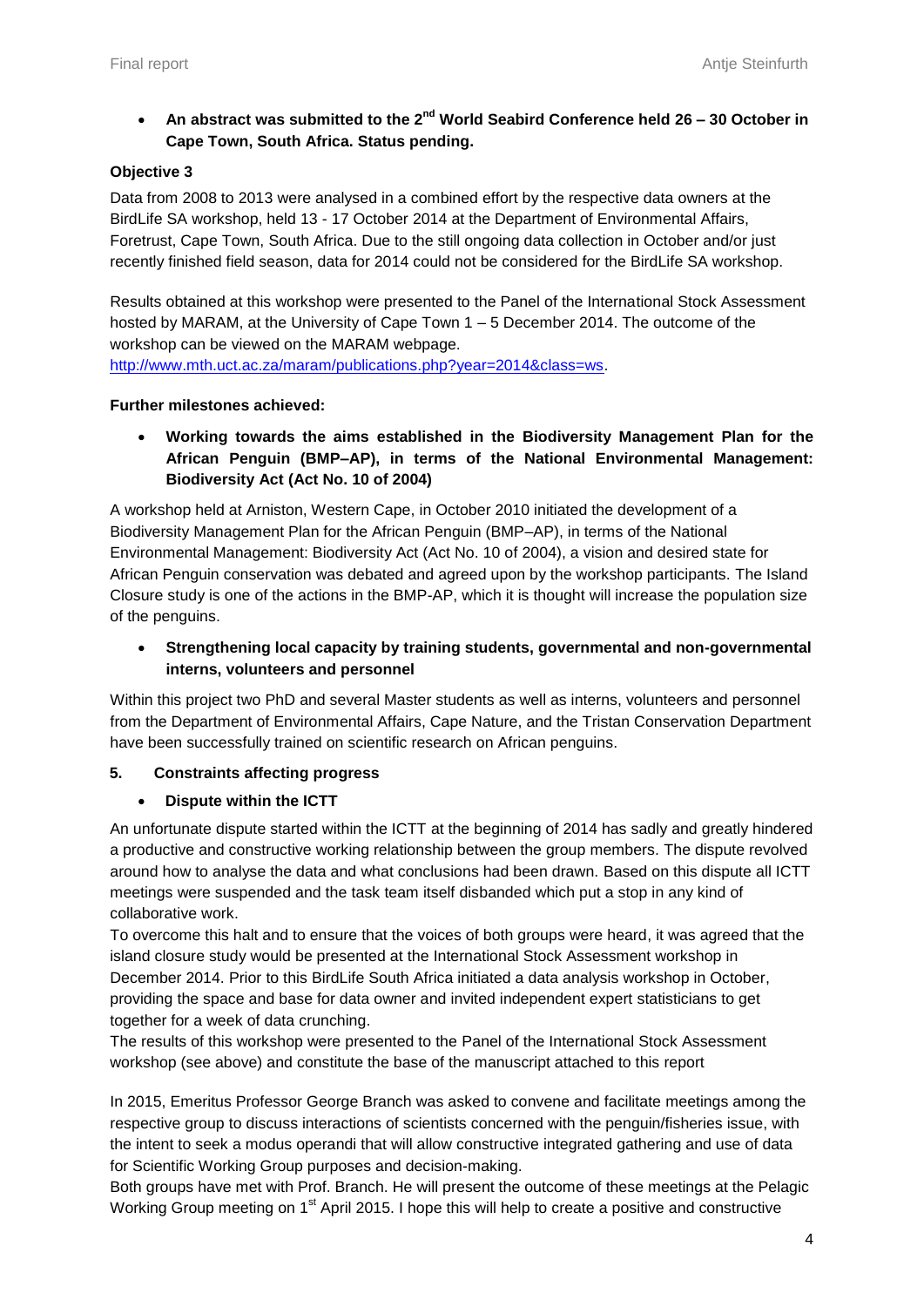# **An abstract was submitted to the 2nd World Seabird Conference held 26 – 30 October in Cape Town, South Africa. Status pending.**

#### **Objective 3**

Data from 2008 to 2013 were analysed in a combined effort by the respective data owners at the BirdLife SA workshop, held 13 - 17 October 2014 at the Department of Environmental Affairs, Foretrust, Cape Town, South Africa. Due to the still ongoing data collection in October and/or just recently finished field season, data for 2014 could not be considered for the BirdLife SA workshop.

Results obtained at this workshop were presented to the Panel of the International Stock Assessment hosted by MARAM, at the University of Cape Town 1 – 5 December 2014. The outcome of the workshop can be viewed on the MARAM webpage.

[http://www.mth.uct.ac.za/maram/publications.php?year=2014&class=ws.](http://www.mth.uct.ac.za/maram/publications.php?year=2014&class=ws)

#### **Further milestones achieved:**

 **Working towards the aims established in the Biodiversity Management Plan for the African Penguin (BMP–AP), in terms of the National Environmental Management: Biodiversity Act (Act No. 10 of 2004)**

A workshop held at Arniston, Western Cape, in October 2010 initiated the development of a Biodiversity Management Plan for the African Penguin (BMP–AP), in terms of the National Environmental Management: Biodiversity Act (Act No. 10 of 2004), a vision and desired state for African Penguin conservation was debated and agreed upon by the workshop participants. The Island Closure study is one of the actions in the BMP-AP, which it is thought will increase the population size of the penguins.

 **Strengthening local capacity by training students, governmental and non-governmental interns, volunteers and personnel** 

Within this project two PhD and several Master students as well as interns, volunteers and personnel from the Department of Environmental Affairs, Cape Nature, and the Tristan Conservation Department have been successfully trained on scientific research on African penguins.

#### **5. Constraints affecting progress**

#### **Dispute within the ICTT**

An unfortunate dispute started within the ICTT at the beginning of 2014 has sadly and greatly hindered a productive and constructive working relationship between the group members. The dispute revolved around how to analyse the data and what conclusions had been drawn. Based on this dispute all ICTT meetings were suspended and the task team itself disbanded which put a stop in any kind of collaborative work.

To overcome this halt and to ensure that the voices of both groups were heard, it was agreed that the island closure study would be presented at the International Stock Assessment workshop in December 2014. Prior to this BirdLife South Africa initiated a data analysis workshop in October, providing the space and base for data owner and invited independent expert statisticians to get together for a week of data crunching.

The results of this workshop were presented to the Panel of the International Stock Assessment workshop (see above) and constitute the base of the manuscript attached to this report

In 2015, Emeritus Professor George Branch was asked to convene and facilitate meetings among the respective group to discuss interactions of scientists concerned with the penguin/fisheries issue, with the intent to seek a modus operandi that will allow constructive integrated gathering and use of data for Scientific Working Group purposes and decision-making.

Both groups have met with Prof. Branch. He will present the outcome of these meetings at the Pelagic Working Group meeting on 1<sup>st</sup> April 2015. I hope this will help to create a positive and constructive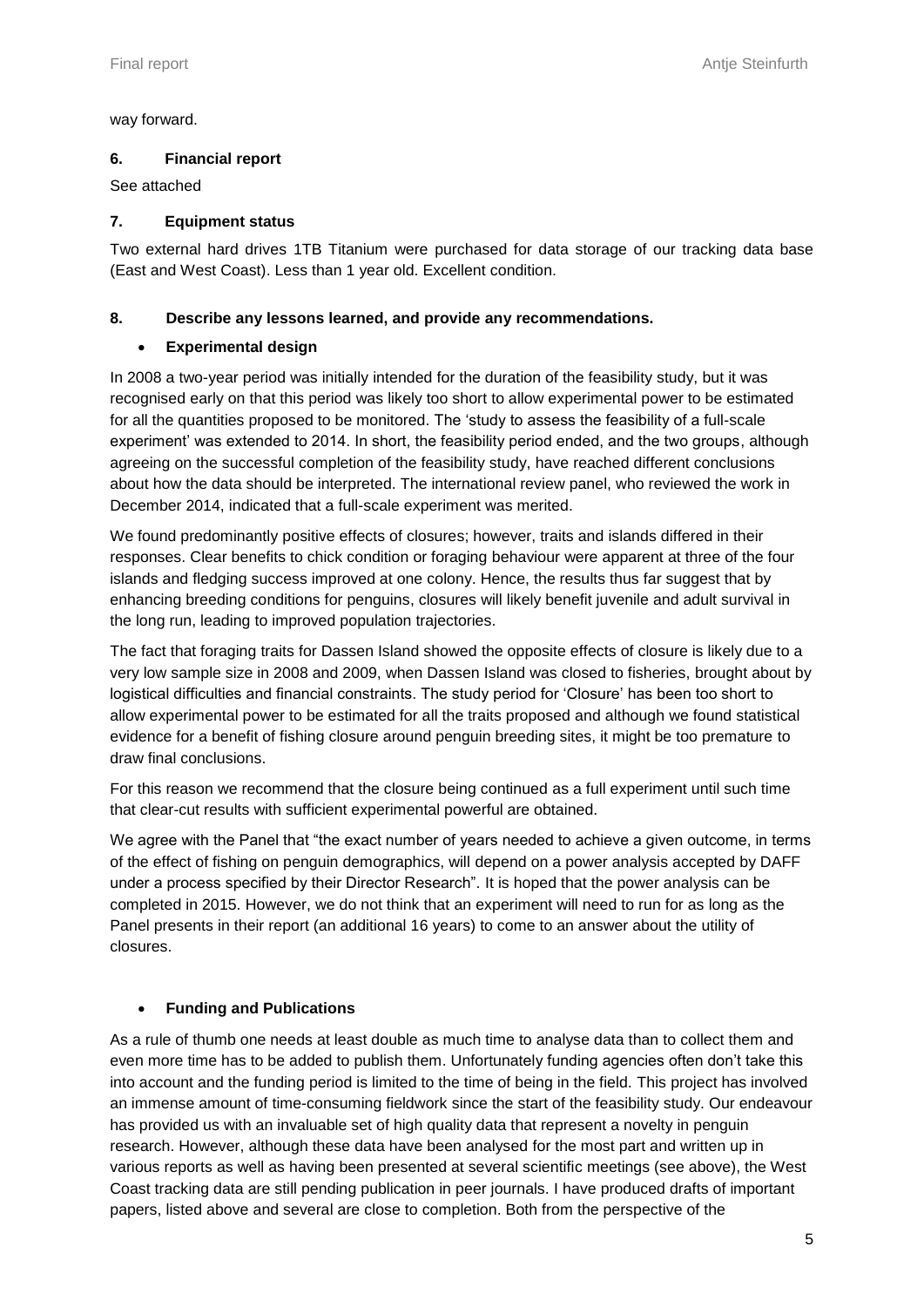way forward.

#### **6. Financial report**

#### See attached

### **7. Equipment status**

Two external hard drives 1TB Titanium were purchased for data storage of our tracking data base (East and West Coast). Less than 1 year old. Excellent condition.

### **8. Describe any lessons learned, and provide any recommendations.**

### **Experimental design**

In 2008 a two-year period was initially intended for the duration of the feasibility study, but it was recognised early on that this period was likely too short to allow experimental power to be estimated for all the quantities proposed to be monitored. The 'study to assess the feasibility of a full-scale experiment' was extended to 2014. In short, the feasibility period ended, and the two groups, although agreeing on the successful completion of the feasibility study, have reached different conclusions about how the data should be interpreted. The international review panel, who reviewed the work in December 2014, indicated that a full-scale experiment was merited.

We found predominantly positive effects of closures; however, traits and islands differed in their responses. Clear benefits to chick condition or foraging behaviour were apparent at three of the four islands and fledging success improved at one colony. Hence, the results thus far suggest that by enhancing breeding conditions for penguins, closures will likely benefit juvenile and adult survival in the long run, leading to improved population trajectories.

The fact that foraging traits for Dassen Island showed the opposite effects of closure is likely due to a very low sample size in 2008 and 2009, when Dassen Island was closed to fisheries, brought about by logistical difficulties and financial constraints. The study period for 'Closure' has been too short to allow experimental power to be estimated for all the traits proposed and although we found statistical evidence for a benefit of fishing closure around penguin breeding sites, it might be too premature to draw final conclusions.

For this reason we recommend that the closure being continued as a full experiment until such time that clear-cut results with sufficient experimental powerful are obtained.

We agree with the Panel that "the exact number of years needed to achieve a given outcome, in terms of the effect of fishing on penguin demographics, will depend on a power analysis accepted by DAFF under a process specified by their Director Research". It is hoped that the power analysis can be completed in 2015. However, we do not think that an experiment will need to run for as long as the Panel presents in their report (an additional 16 years) to come to an answer about the utility of closures.

# **Funding and Publications**

As a rule of thumb one needs at least double as much time to analyse data than to collect them and even more time has to be added to publish them. Unfortunately funding agencies often don't take this into account and the funding period is limited to the time of being in the field. This project has involved an immense amount of time-consuming fieldwork since the start of the feasibility study. Our endeavour has provided us with an invaluable set of high quality data that represent a novelty in penguin research. However, although these data have been analysed for the most part and written up in various reports as well as having been presented at several scientific meetings (see above), the West Coast tracking data are still pending publication in peer journals. I have produced drafts of important papers, listed above and several are close to completion. Both from the perspective of the